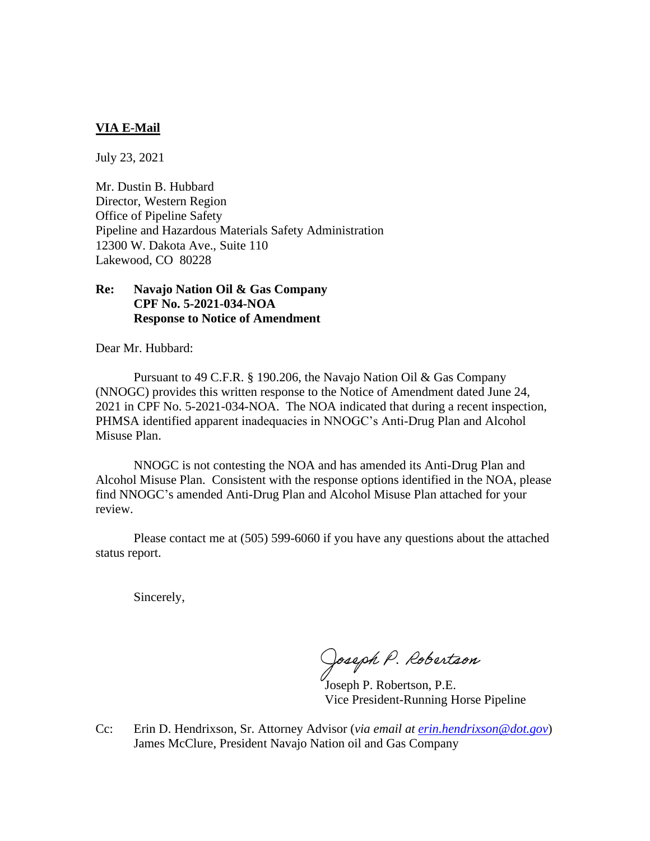## **VIA E-Mail**

July 23, 2021

Mr. Dustin B. Hubbard Director, Western Region Office of Pipeline Safety Pipeline and Hazardous Materials Safety Administration 12300 W. Dakota Ave., Suite 110 Lakewood, CO 80228

## **Re: Navajo Nation Oil & Gas Company CPF No. 5-2021-034-NOA Response to Notice of Amendment**

Dear Mr. Hubbard:

Pursuant to 49 C.F.R. § 190.206, the Navajo Nation Oil & Gas Company (NNOGC) provides this written response to the Notice of Amendment dated June 24, 2021 in CPF No. 5-2021-034-NOA. The NOA indicated that during a recent inspection, PHMSA identified apparent inadequacies in NNOGC's Anti-Drug Plan and Alcohol Misuse Plan.

NNOGC is not contesting the NOA and has amended its Anti-Drug Plan and Alcohol Misuse Plan. Consistent with the response options identified in the NOA, please find NNOGC's amended Anti-Drug Plan and Alcohol Misuse Plan attached for your review.

Please contact me at (505) 599-6060 if you have any questions about the attached status report.

Sincerely,

Joseph P. Robertson<br>Joseph P. Robertson, P.E.

Vice President-Running Horse Pipeline

Cc: Erin D. Hendrixson, Sr. Attorney Advisor (*via email at erin.hendrixson@dot.gov*) James McClure, President Navajo Nation oil and Gas Company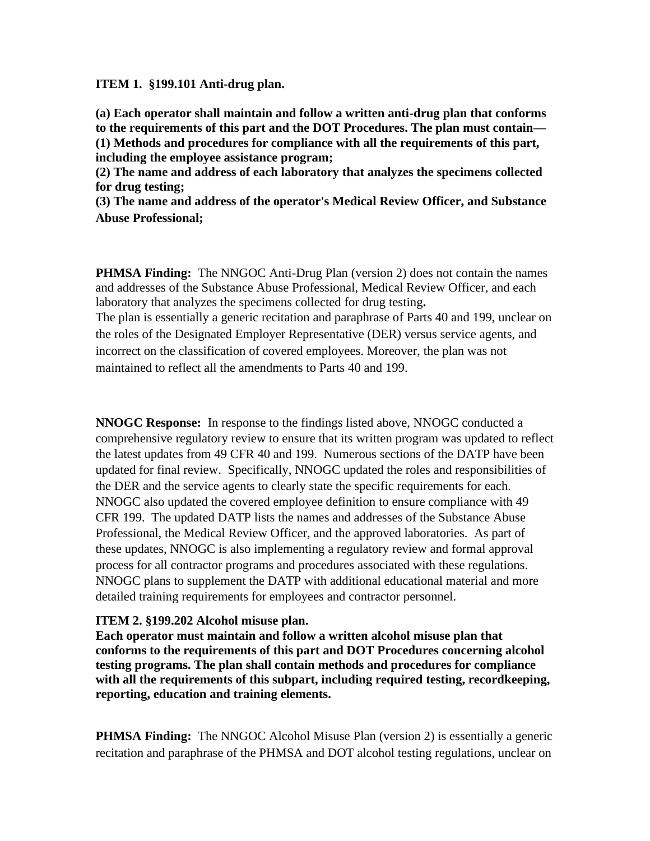## **ITEM 1. §199.101 Anti-drug plan.**

**(a) Each operator shall maintain and follow a written anti-drug plan that conforms to the requirements of this part and the DOT Procedures. The plan must contain— (1) Methods and procedures for compliance with all the requirements of this part, including the employee assistance program;** 

**(2) The name and address of each laboratory that analyzes the specimens collected for drug testing;** 

**(3) The name and address of the operator's Medical Review Officer, and Substance Abuse Professional;**

**PHMSA Finding:** The NNGOC Anti-Drug Plan (version 2) does not contain the names and addresses of the Substance Abuse Professional, Medical Review Officer, and each laboratory that analyzes the specimens collected for drug testing**.**  The plan is essentially a generic recitation and paraphrase of Parts 40 and 199, unclear on the roles of the Designated Employer Representative (DER) versus service agents, and incorrect on the classification of covered employees. Moreover, the plan was not maintained to reflect all the amendments to Parts 40 and 199.

**NNOGC Response:** In response to the findings listed above, NNOGC conducted a comprehensive regulatory review to ensure that its written program was updated to reflect the latest updates from 49 CFR 40 and 199. Numerous sections of the DATP have been updated for final review. Specifically, NNOGC updated the roles and responsibilities of the DER and the service agents to clearly state the specific requirements for each. NNOGC also updated the covered employee definition to ensure compliance with 49 CFR 199. The updated DATP lists the names and addresses of the Substance Abuse Professional, the Medical Review Officer, and the approved laboratories. As part of these updates, NNOGC is also implementing a regulatory review and formal approval process for all contractor programs and procedures associated with these regulations. NNOGC plans to supplement the DATP with additional educational material and more detailed training requirements for employees and contractor personnel.

## **ITEM 2. §199.202 Alcohol misuse plan.**

**Each operator must maintain and follow a written alcohol misuse plan that conforms to the requirements of this part and DOT Procedures concerning alcohol testing programs. The plan shall contain methods and procedures for compliance with all the requirements of this subpart, including required testing, recordkeeping, reporting, education and training elements.** 

**PHMSA Finding:** The NNGOC Alcohol Misuse Plan (version 2) is essentially a generic recitation and paraphrase of the PHMSA and DOT alcohol testing regulations, unclear on